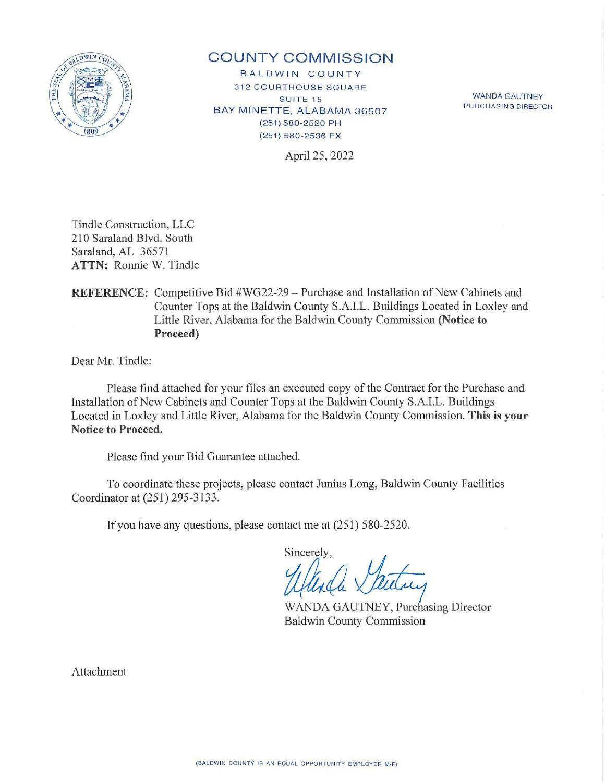

# **COUNTY COMMISSION**

BALDWIN COUNTY **312 COURTHOUSE SQUARE SUITE 15** BAY MINETTE, ALABAMA 36507 (251) 580-2520 PH (251) 580-2536 FX

WANDA GAUTNEY PURCHASING DIRECTOR

April 25, 2022

Tindle Construction, LLC 210 Saraland Blvd. South Saraland, AL 36571 **ATTN:** Ronnie W. Tindle

## **REFERENCE:** Competitive Bid #WG22-29 – Purchase and Installation of New Cabinets and Counter Tops at the Baldwin County S.A.I.L. Buildings Located in Loxley and Little River, Alabama for the Baldwin County Commission **(Notice to Proceed)**

Dear Mr. Tindle:

Please find attached for your files an executed copy of the Contract for the Purchase and Installation of New Cabinets and Counter Tops at the Baldwin County S.A.I.L. Buildings Located in Loxley and Little River, Alabama for the Baldwin County Commission. **This is your Notice to Proceed.** 

Please find your Bid Guarantee attached.

To coordinate these projects, please contact Junius Long, Baldwin County Facilities Coordinator at (251) 295-3133.

If you have any questions, please contact me at (251) 5 80-2520.

Sincerely,

WANDA GAUTNEY, Purchasing Director Baldwin County Commission

Attachment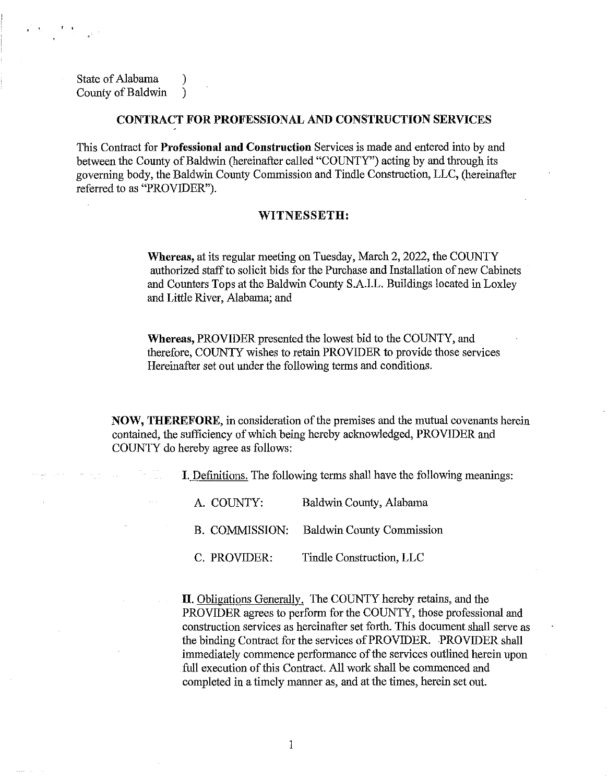State of Alabama ) County of Baldwin )

1 ' I I I I I I I I I I I I

#### **CONTRACT FOR PROFESSIONAL AND CONSTRUCTION SERVICES**

This Contract for **Professional and Construction** Services is made and entered into by and between the County of Baldwin (hereinafter called "COUNTY") acting by and through its governing body, the Baldwin County Commission and Tindle Construction, LLC, (hereinafter referred to as "PROVIDER").

### **WITNESSETH:**

**Whereas,** at its regular meeting on Tuesday, March 2, 2022, the COUNTY authorized staff to solicit bids for the Purchase and Installation of new Cabinets and Counters Tops at the Baldwin County S.A.I.L. Buildings located in Loxley and Little River, Alabama; and

**Whereas,** PROVIDER presented the lowest bid to the COUNTY, and therefore, COUNTY wishes to retain PROVIDER to provide those services Hereinafter set out under the following terms and conditions.

**NOW, THEREFORE,** in consideration of the premises and the mutual covenants herein contained, the sufficiency of which being hereby acknowledged, PROVIDER and COUNTY do hereby agree as follows:

I. Definitions. The following terms shall have the following meanings:

A. COUNTY: Baldwin County, Alabama B. COMMISSION: Baldwin County Commission C. PROVIDER: Tindle Construction, LLC

**II.** Obligations Generally. The COUNTY hereby retains, and the PROVIDER agrees to perform for the COUNTY, those professional and construction services as hereinafter set forth. This document shall serve as the binding Contract for the services of PROVIDER. PROVIDER shall immediately commence performance of the services outlined herein upon full execution of this Contract. All work shall be commenced and completed in a timely manner as, and at the times, herein set out.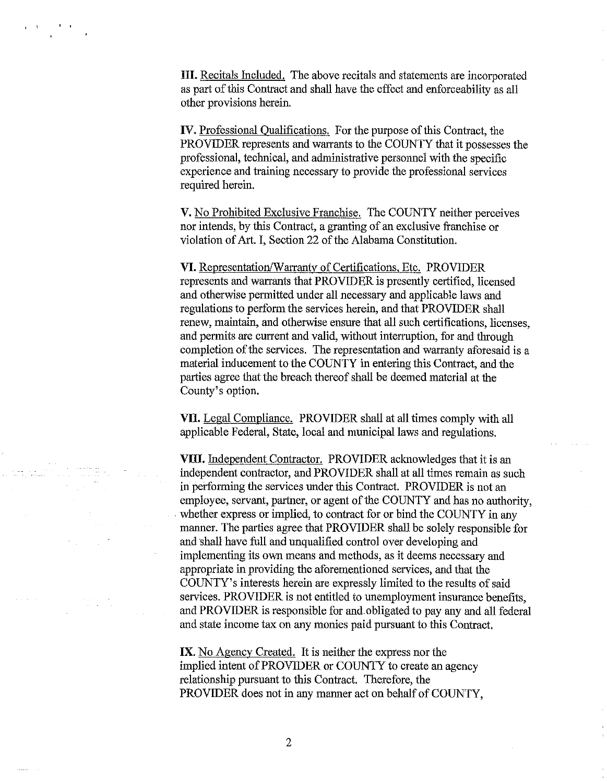HI. Recitals Included. The above recitals and statements are incorporated as part of this Contract and shall have the effect and enforceability as all other provisions herein.

IV. Professional Qualifications. For the purpose of this Contract, the PROVIDER represents and warrants to the COUNTY that it possesses the professional, technical, and administrative personnel with the specific experience and training necessary to provide the professional services required herein.

V. No Prohibited Exclusive Franchise. The COUNTY neither perceives nor intends, by this Contract, a granting of an exclusive franchise or violation of Art. I, Section 22 of the Alabama Constitution.

**VI.** Representation/Warranty of Certifications, Etc. PROVIDER represents and warrants that PROVIDER is presently certified, licensed and otherwise permitted under all necessary and applicable laws and regulations to perform the services herein, and that PROVIDER shall renew, maintain, and otherwise ensure that all such certifications, licenses, and permits are current and valid, without interruption, for and through completion of the services. The representation and warranty aforesaid is a material inducement to the COUNTY in entering this Contract, and the parties agree that the breach thereof shall be deemed material at the County's option.

VII. Legal Compliance. PROVIDER shall at all times comply with all applicable Federal, State, local and municipal laws and regulations.

**VIII.** Independent Contractor. PROVIDER acknowledges that it is an independent contractor, and PROVIDER shall at all times remain as such in performing the services under this Contract. PROVIDER is not an employee, servant, partner, or agent of the COUNTY and has no authority, whether express or implied, to contract for or bind the COUNTY in any manner. The parties agree that PROVIDER shall be solely responsible for and shall have full and unqualified control over developing and implementing its own means and methods, as it deems necessary and appropriate in providing the aforementioned services, and that the COUNTY' s interests herein are expressly limited to the results of said services. PROVIDER is not entitled to unemployment insurance benefits, and PROVIDER is responsible for and.obligated to pay any and all federal and state income tax on any monies paid pursuant to this Contract.

**IX.** No Agency Created. It is neither the express nor the implied intent of PROVIDER or COUNTY to create an agency relationship pursuant to this Contract. Therefore, the PROVIDER does not in any manner act on behalf of COUNTY,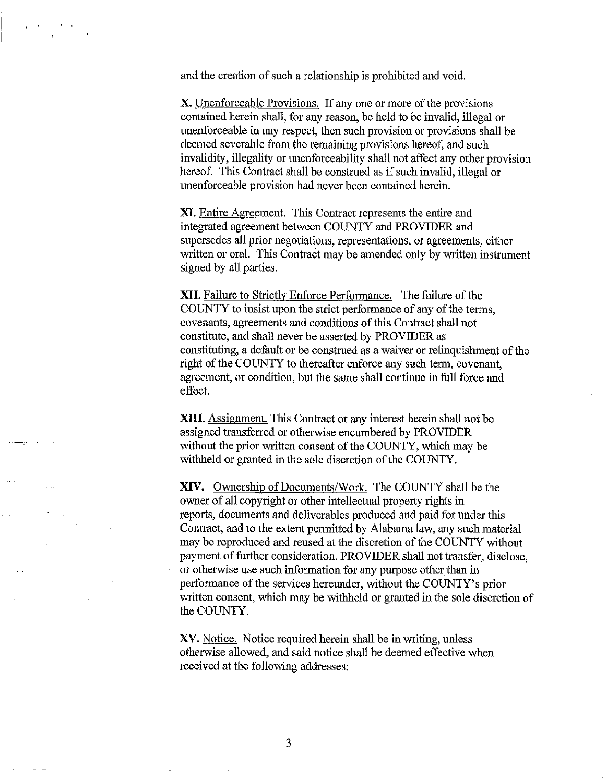and the creation of such a relationship is prohibited and void.

' '

X. Unenforceable Provisions. If any one or more of the provisions contained herein shall, for any reason, be held to be invalid, illegal or unenforceable in any respect, then such provision or provisions shall be deemed severable from the remaining provisions hereof, and such invalidity, illegality or unenforceability shall not affect any other provision hereof. This Contract shall be construed as if such invalid, illegal or unenforceable provision had never been contained herein.

XI. Entire Agreement. This Contract represents the entire and integrated agreement between COUNTY and PROVIDER and supersedes all prior negotiations, representations, or agreements, either written or oral. This Contract may be amended only by written instrument signed by all parties.

**XII.** Failure to Strictly Enforce Performance. The failure of the COUNTY to insist upon the strict performance of any of the terms, covenants, agreements and conditions of this Contract shall not constitute, and shall never be asserted by PROVIDER as constituting, a default or be construed as a waiver or relinquishment of the right of the COUNTY to thereafter enforce any such term, covenant, agreement, or condition, but the same shall continue in full force and effect.

**XIII.** Assignment. This Contract or any interest herein shall not be assigned transferred or otherwise encumbered by PROVIDER without the prior written consent of the COUNTY, which may be withheld or granted in the sole discretion of the COUNTY.

XIV. Ownership of Documents/Work. The COUNTY shall be the owner of all copyright or other intellectual property rights in reports, documents and deliverables produced and paid for under this Contract, and to the extent permitted by Alabama law, any such material may be reproduced and reused at the discretion of the COUNTY without payment of further consideration. PROVIDER shall not transfer, disclose, or otherwise use such information for any purpose other than in performance of the services hereunder, without the COUNTY's prior written consent, which may be withheld or granted in the sole discretion of the COUNTY.

XV. Notice. Notice required herein shall be in writing, unless otherwise allowed, and said notice shall be deemed effective when received at the following addresses: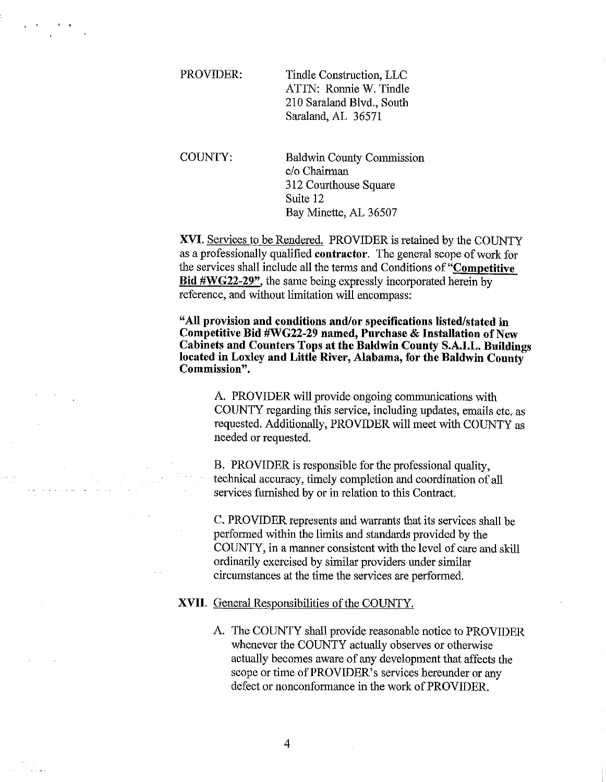PROVIDER: Tindle Construction, LLC ATTN: Ronnie W. Tindle 210 Saraland Blvd., South Saraland, AL 36571

COUNTY:

 $\cdot$   $\cdot$ 

Baldwin County Commission c/o Chairman 312 Courthouse Square Suite 12 Bay Minette, AL 36507

**XVI.** Services to be Rendered. PROVIDER is retained by the COUNTY as a professionally qualified **contractor.** The general scope of work for the services shall include all the terms and Conditions of **"Competitive Bid #WG22-29",** the same being expressly incorporated herein by reference, and without limitation will encompass:

**"All provision and conditions and/or specifications listed/stated in Competitive Bid #WG22-29 named, Purchase & Installation of New Cabinets and Counters Tops at the Baldwin County S.A.I.L. Buildings located in Loxley and Little River, Alabama, for the Baldwin County Commission".** 

A. PROVIDER will provide ongoing communications with COUNTY regarding this service, including updates, emails etc. as requested. Additionally, PROVIDER will meet with COUNTY as needed or requested.

B. PROVIDER is responsible for the professional quality, technical accuracy, timely completion and coordination of all services furnished by or in relation to this Contract.

C. PROVIDER represents and warrants that its services shall be performed within the limits and standards provided by the COUNTY, in a manner consistent with the level of care and skill ordinarily exercised by similar providers under similar circumstances at the time the services are performed.

### **XVII.** General Responsibilities of the COUNTY.

A. The COUNTY shall provide reasonable notice to PROVIDER whenever the COUNTY actually observes or otherwise actually becomes aware of any development that affects the scope or time of PROVIDER's services hereunder or any defect or nonconformance in the work of PROVIDER.

4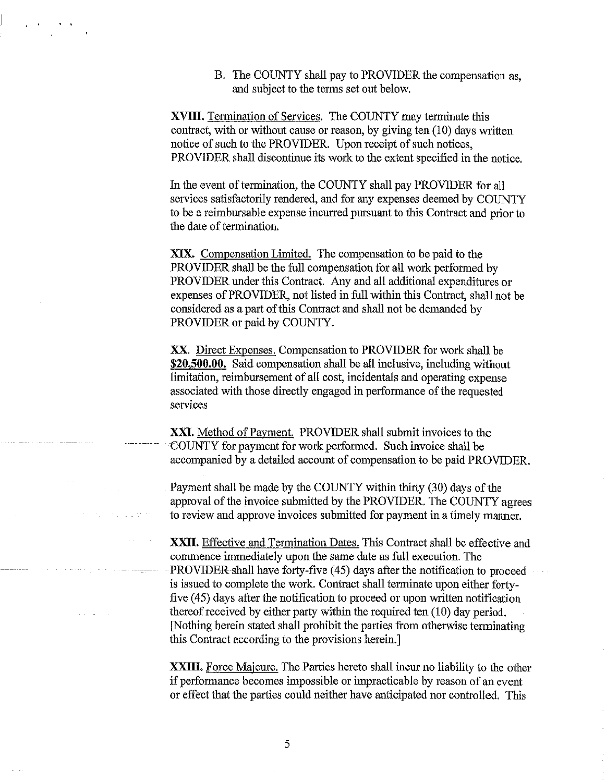B. The COUNTY shall pay to PROVIDER the compensation as, and subject to the terms set out below.

XVIII. Termination of Services. The COUNTY may terminate this contract, with or without cause or reason, by giving ten (10) days written notice of such to the PROVIDER. Upon receipt of such notices, PROVIDER shall discontinue its work to the extent specified in the notice.

..

In the event of termination, the COUNTY shall pay PROVIDER for all services satisfactorily rendered, and for any expenses deemed by COUNTY to be a reimbursable expense incurred pursuant to this Contract and prior to the date of termination.

XIX. Compensation Limited. The compensation to be paid to the PROVIDER shall be the full compensation for all work performed by PROVIDER under this Contract. Any and all additional expenditures or expenses of PROVIDER, not listed in full within this Contract, shall not be considered as a part of this Contract and shall not be demanded by PROVIDER or paid by COUNTY.

XX. Direct Expenses. Compensation to PROVIDER for work shall be **\$20,500.00.** Said compensation shall be all inclusive, including without limitation, reimbursement of all cost, incidentals and operating expense associated with those directly engaged in performance of the requested services

XXI. Method of Payment. PROVIDER shall submit invoices to the COUNTY for payment for work performed. Such invoice shall be accompanied by a detailed account of compensation to be paid PROVIDER.

Payment shall be made by the COUNTY within thirty (30) days of the approval of the invoice submitted by the PROVIDER. The COUNTY agrees to review and approve invoices submitted for payment in a timely manner.

XXII. Effective and Termination Dates. This Contract shall be effective and commence immediately upon the same date as full execution. The PROVIDER shall have forty-five (45) days after the notification to proceed is issued to complete the work. Contract shall terminate upon either fortyfive ( 45) days after the notification to proceed or upon written notification thereof received by either party within the required ten  $(10)$  day period. [Nothing herein stated shall prohibit the parties from otherwise terminating this Contract according to the provisions herein.]

XXIII. Force Majeure. The Parties hereto shall incur no liability to the other if performance becomes impossible or impracticable by reason of an event or effect that the parties could neither have anticipated nor controlled. This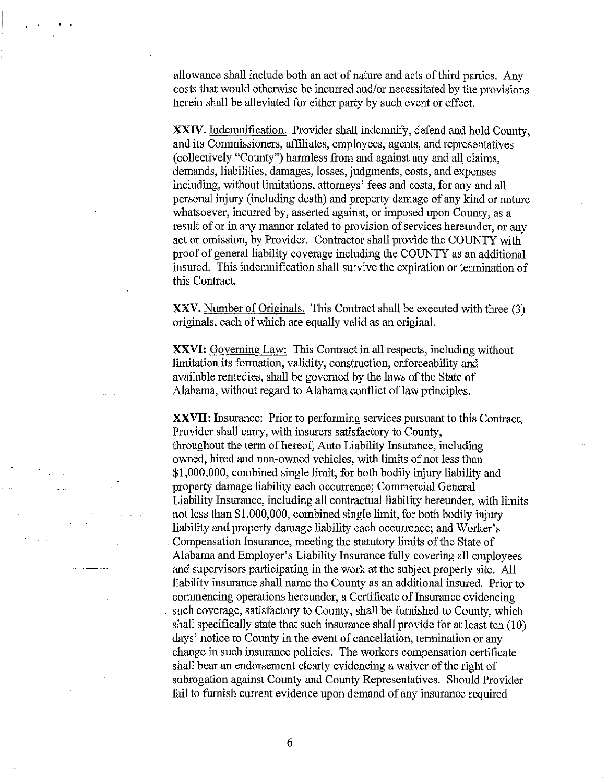allowance shall include both an act of nature and acts of third parties. Any costs that would otherwise be incurred and/or necessitated by the provisions herein shall be alleviated for either party by such event or effect.

XXIV. Indemnification. Provider shall indemnify, defend and hold County, and its Commissioners, affiliates, employees, agents, and representatives (collectively "County") harmless from and against any and all claims, demands, liabilities, damages, losses, judgments, costs, and expenses including, without limitations, attorneys' fees and costs, for any and all personal injury (including death) and property damage of any kind or nature whatsoever, incurred by, asserted against, or imposed upon County, as a result of or in any manner related to provision of services hereunder, or any act or omission, by Provider. Contractor shall provide the COUNTY with proof of general liability coverage including the COUNTY as an additional insured. This indemnification shall survive the expiration or termination of this Contract.

**XXV.** Number of Originals. This Contract shall be executed with three (3) originals, each of which are equally valid as an original.

**XXVI:** Governing Law: This Contract in all respects, including without limitation its formation, validity, construction, enforceability and available remedies, shall be governed by the laws of the State of Alabama, without regard to Alabama conflict of law principles.

**XXVII:** Insurance: Prior to performing services pursuant to this Contract, Provider shall carry, with insurers satisfactory to County, throughout the term of hereof, Auto Liability Insurance, including owned, hired and non-owned vehicles, with limits of not less than \$1,000,000, combined single limit, for both bodily injury liability and property damage liability each occurrence; Commercial General Liability Insurance, including all contractual liability hereunder, with limits not less than \$1,000,000, combined single limit, for both bodily injury liability and property damage liability each occurrence; and Worker's Compensation Insurance, meeting the statutory limits of the State of Alabama and Employer's Liability Insurance fully covering all employees and supervisors participating in the work at the subject property site. All liability insurance shall name the County as an additional insured. Prior to commencing operations hereunder, a Certificate of Insurance evidencing such coverage, satisfactory to County, shall be furnished to County, which shall specifically state that such insurance shall provide for at least ten (10) days' notice to County in the event of cancellation, termination or any change in such insurance policies. The workers compensation certificate shall bear an endorsement clearly evidencing a waiver of the right of subrogation against County and County Representatives. Should Provider fail to furnish current evidence upon demand of any insurance required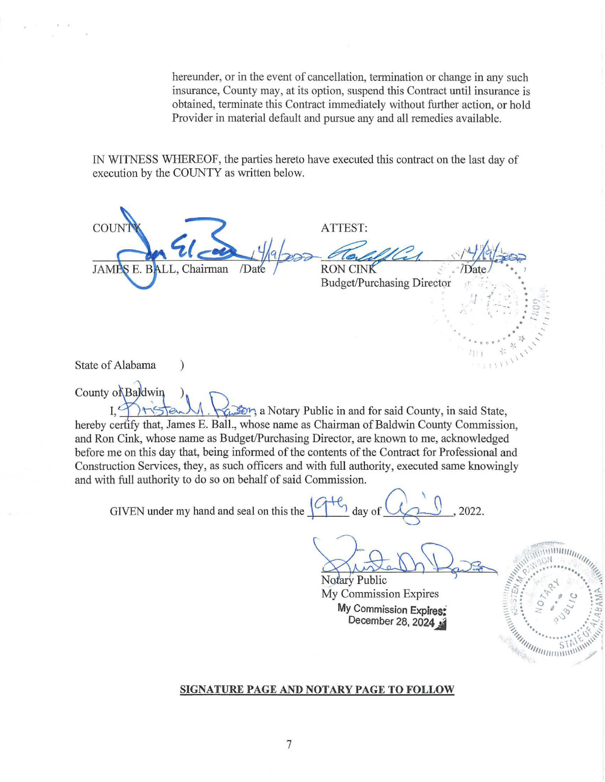hereunder, or in the event of cancellation, termination or change in any such insurance, County may, at its option, suspend this Contract until insurance is obtained, terminate this Contract immediately without further action, or hold Provider in material default and pursue any and all remedies available.

IN WITNESS WHEREOF, the parties hereto have executed this contract on the last day of execution by the COUNTY as written below.

ATTEST: COUNTY<br>JAMBS E. BALL, Chairman Date Party RON CINK RON CINK<br>Budget/Purchasing Director *'!* /.  $\chi^{\rm eff}_{\rm e}$  .  $\chi^{\rm eff}_{\rm e}$  ,  $\chi^{\rm eff}_{\rm e}$  $\bullet$   $S$   $\circ$ . -.: - . "... - . . ' - . • **4'. f,** • • !} .......... ,. (' ~ . \• '

State of Alabama (1)

County of Baldwin )  $\bigcup_{I_1,\ldots,I_n} \bigcup_{I_2,\ldots,I_n} \bigcup_{I_1,\ldots,I_n} \bigcup_{I_2,\ldots,I_n} \bigcup_{I_2,\ldots,I_n}$  a Notary Public in and for said County, in said State, hereby certify that, James E. Ball., whose name as Chairman of Baldwin County Commission, and Ron Cink, whose name as Budget/Purchasing Director, are known to me, acknowledged before me on this day that, being informed of the contents of the Contract for Professional and Construction Services, they, as such officers and with full authority, executed same knowingly and with full authority to do so on behalf of said Commission.

GIVEN under my hand and seal on this the  $\frac{\sqrt{1+\Delta}}{2}$  day of  $\sqrt{2}$ , 2022.

Notary Public

 $\frac{1}{\sqrt{11}}$   $\frac{1}{2}$   $\frac{1}{2}$   $\frac{1}{2}$   $\frac{1}{2}$  $\frac{1}{1 + 1}$   $\frac{1}{1}$ 

E ARTICLE OF THE COMMUNITY

My Commission Expires My Commission Expires: December 28, 2024

#### **SIGNATURE PAGE AND NOTARY PAGE TO FOLLOW**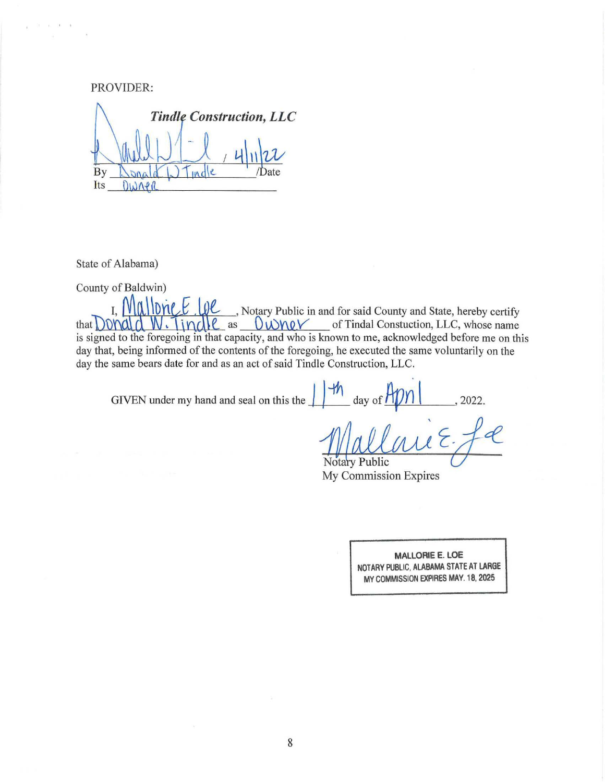PROVIDER: *Construction, LLC*  By ate **TIA** Its DINNPR

State of Alabama)

 $\ell = -\ell, \ldots, 0, \ldots, 0$ 

County of Baldwin)

 $\pi$ ,  $\mathcal{M}$   $\mathcal{M}$   $\mathcal{M}$  ,  $\mathcal{M}$  , Notary Public in and for said County and State, hereby certify  $\theta$  that  $\Omega$ ) and  $\Omega$   $\Omega$  is  $\Omega$  is  $\Omega$  as  $\Omega$   $\Omega$   $\Omega$  of Tindal Constuction, LLC, whose name is signed to the foregoing in that capacity, and who is known to me, acknowledged before me on this day that, being informed of the contents of the foregoing, he executed the same voluntarily on the day the same bears date for and as an act of said Tindle Construction, LLC.

GIVEN under my hand and seal on this the  $\int_{0}^{1}\frac{1}{\sqrt{n}} \, d$  ay of  $\frac{1}{n}$  101

 $\sim$ Notary Public

My Commission Expires

MALLORIE E. LOE NOTARY PUBLIC, ALABAMA STATE AT LARGE MY COMMISSION EXPIRES MAY. 18, 2025